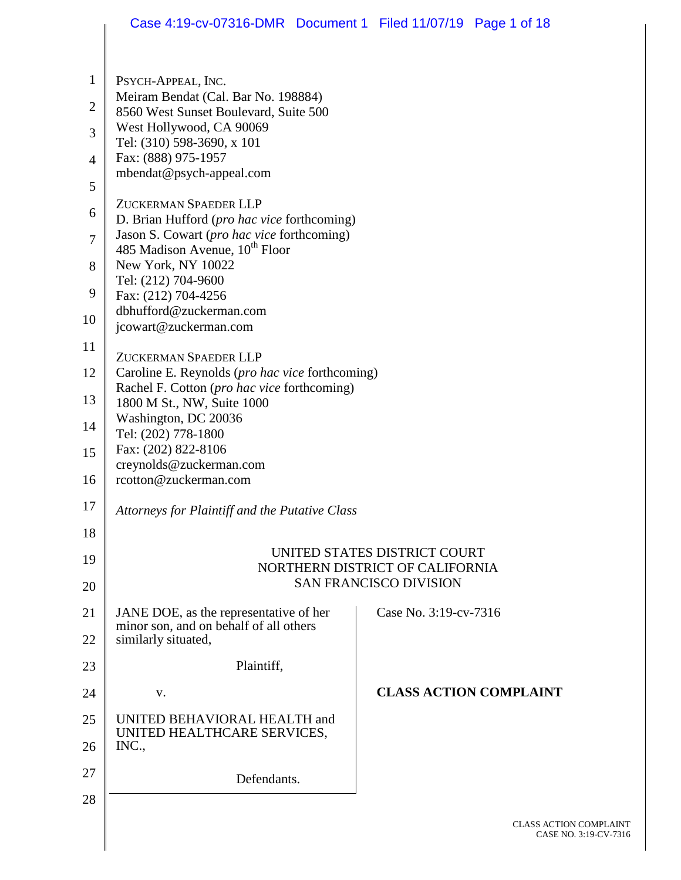|                     | Case 4:19-cv-07316-DMR  Document 1  Filed 11/07/19  Page 1 of 18                          |  |                               |                               |
|---------------------|-------------------------------------------------------------------------------------------|--|-------------------------------|-------------------------------|
| $\mathbf{1}$        | PSYCH-APPEAL, INC.                                                                        |  |                               |                               |
| $\mathbf{2}$        | Meiram Bendat (Cal. Bar No. 198884)<br>8560 West Sunset Boulevard, Suite 500              |  |                               |                               |
| 3                   | West Hollywood, CA 90069<br>Tel: (310) 598-3690, x 101                                    |  |                               |                               |
| 4                   | Fax: (888) 975-1957<br>mbendat@psych-appeal.com                                           |  |                               |                               |
| 5                   | ZUCKERMAN SPAEDER LLP                                                                     |  |                               |                               |
| 6                   | D. Brian Hufford (pro hac vice forthcoming)<br>Jason S. Cowart (pro hac vice forthcoming) |  |                               |                               |
| $\overline{7}$<br>8 | 485 Madison Avenue, 10 <sup>th</sup> Floor<br>New York, NY 10022                          |  |                               |                               |
| 9                   | Tel: (212) 704-9600                                                                       |  |                               |                               |
| 10                  | Fax: (212) 704-4256<br>dbhufford@zuckerman.com                                            |  |                               |                               |
| 11                  | jcowart@zuckerman.com                                                                     |  |                               |                               |
| 12                  | ZUCKERMAN SPAEDER LLP<br>Caroline E. Reynolds (pro hac vice forthcoming)                  |  |                               |                               |
| 13                  | Rachel F. Cotton (pro hac vice forthcoming)<br>1800 M St., NW, Suite 1000                 |  |                               |                               |
| 14                  | Washington, DC 20036<br>Tel: (202) 778-1800                                               |  |                               |                               |
| 15                  | Fax: (202) 822-8106<br>creynolds@zuckerman.com                                            |  |                               |                               |
| 16                  | rcotton@zuckerman.com                                                                     |  |                               |                               |
| 17                  | Attorneys for Plaintiff and the Putative Class                                            |  |                               |                               |
| 18                  |                                                                                           |  |                               |                               |
| 19                  | UNITED STATES DISTRICT COURT<br>NORTHERN DISTRICT OF CALIFORNIA                           |  |                               |                               |
| 20                  |                                                                                           |  | <b>SAN FRANCISCO DIVISION</b> |                               |
| 21                  | JANE DOE, as the representative of her<br>minor son, and on behalf of all others          |  | Case No. 3:19-cv-7316         |                               |
| 22                  | similarly situated,                                                                       |  |                               |                               |
| 23                  | Plaintiff,                                                                                |  |                               |                               |
| 24                  | V.                                                                                        |  |                               | <b>CLASS ACTION COMPLAINT</b> |
| 25<br>26            | UNITED BEHAVIORAL HEALTH and<br>UNITED HEALTHCARE SERVICES,<br>INC.,                      |  |                               |                               |
| 27                  | Defendants.                                                                               |  |                               |                               |
| 28                  |                                                                                           |  |                               |                               |
|                     |                                                                                           |  |                               | CLASS ACTION C                |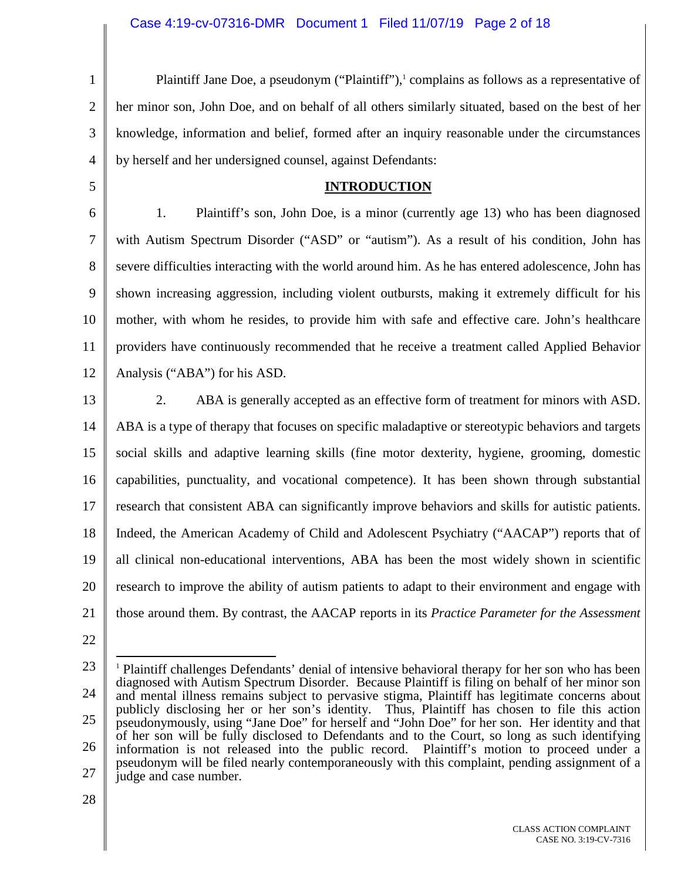1 2 3 4 5 6 7 8 9 10 11 12 13 14 15 16 17 18 19 20 21 22 23 24 Plaintiff Jane Doe, a pseudonym ("Plaintiff"), $\frac{1}{2}$  complains as follows as a representative of her minor son, John Doe, and on behalf of all others similarly situated, based on the best of her knowledge, information and belief, formed after an inquiry reasonable under the circumstances by herself and her undersigned counsel, against Defendants: **INTRODUCTION**  1. Plaintiff's son, John Doe, is a minor (currently age 13) who has been diagnosed with Autism Spectrum Disorder ("ASD" or "autism"). As a result of his condition, John has severe difficulties interacting with the world around him. As he has entered adolescence, John has shown increasing aggression, including violent outbursts, making it extremely difficult for his mother, with whom he resides, to provide him with safe and effective care. John's healthcare providers have continuously recommended that he receive a treatment called Applied Behavior Analysis ("ABA") for his ASD. 2. ABA is generally accepted as an effective form of treatment for minors with ASD. ABA is a type of therapy that focuses on specific maladaptive or stereotypic behaviors and targets social skills and adaptive learning skills (fine motor dexterity, hygiene, grooming, domestic capabilities, punctuality, and vocational competence). It has been shown through substantial research that consistent ABA can significantly improve behaviors and skills for autistic patients. Indeed, the American Academy of Child and Adolescent Psychiatry ("AACAP") reports that of all clinical non-educational interventions, ABA has been the most widely shown in scientific research to improve the ability of autism patients to adapt to their environment and engage with those around them. By contrast, the AACAP reports in its *Practice Parameter for the Assessment*  <sup>1</sup> Plaintiff challenges Defendants' denial of intensive behavioral therapy for her son who has been diagnosed with Autism Spectrum Disorder. Because Plaintiff is filing on behalf of her minor son and mental illness remains subject to pervasive stigma, Plaintiff has legitimate concerns about

25 26 27 publicly disclosing her or her son's identity. Thus, Plaintiff has chosen to file this action pseudonymously, using "Jane Doe" for herself and "John Doe" for her son. Her identity and that of her son will be fully disclosed to Defendants and to the Court, so long as such identifying information is not released into the public record. Plaintiff's motion to proceed under a pseudonym will be filed nearly contemporaneously with this complaint, pending assignment of a judge and case number.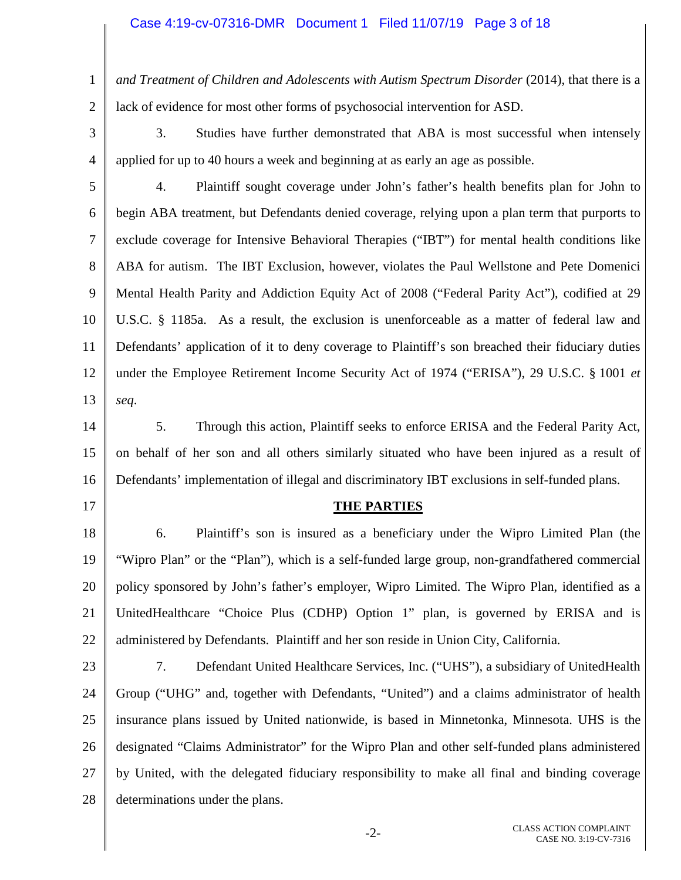#### Case 4:19-cv-07316-DMR Document 1 Filed 11/07/19 Page 3 of 18

1 2 *and Treatment of Children and Adolescents with Autism Spectrum Disorder* (2014), that there is a lack of evidence for most other forms of psychosocial intervention for ASD.

3

4

3. Studies have further demonstrated that ABA is most successful when intensely applied for up to 40 hours a week and beginning at as early an age as possible.

5 6 7 8 9 10 11 12 13 4. Plaintiff sought coverage under John's father's health benefits plan for John to begin ABA treatment, but Defendants denied coverage, relying upon a plan term that purports to exclude coverage for Intensive Behavioral Therapies ("IBT") for mental health conditions like ABA for autism. The IBT Exclusion, however, violates the Paul Wellstone and Pete Domenici Mental Health Parity and Addiction Equity Act of 2008 ("Federal Parity Act"), codified at 29 U.S.C. § 1185a. As a result, the exclusion is unenforceable as a matter of federal law and Defendants' application of it to deny coverage to Plaintiff's son breached their fiduciary duties under the Employee Retirement Income Security Act of 1974 ("ERISA"), 29 U.S.C. § 1001 *et seq*.

14 15 16 5. Through this action, Plaintiff seeks to enforce ERISA and the Federal Parity Act, on behalf of her son and all others similarly situated who have been injured as a result of Defendants' implementation of illegal and discriminatory IBT exclusions in self-funded plans.

17

#### **THE PARTIES**

18 19 20 21 22 6. Plaintiff's son is insured as a beneficiary under the Wipro Limited Plan (the "Wipro Plan" or the "Plan"), which is a self-funded large group, non-grandfathered commercial policy sponsored by John's father's employer, Wipro Limited. The Wipro Plan, identified as a UnitedHealthcare "Choice Plus (CDHP) Option 1" plan, is governed by ERISA and is administered by Defendants. Plaintiff and her son reside in Union City, California.

23 24 25 26 27 28 7. Defendant United Healthcare Services, Inc. ("UHS"), a subsidiary of UnitedHealth Group ("UHG" and, together with Defendants, "United") and a claims administrator of health insurance plans issued by United nationwide, is based in Minnetonka, Minnesota. UHS is the designated "Claims Administrator" for the Wipro Plan and other self-funded plans administered by United, with the delegated fiduciary responsibility to make all final and binding coverage determinations under the plans.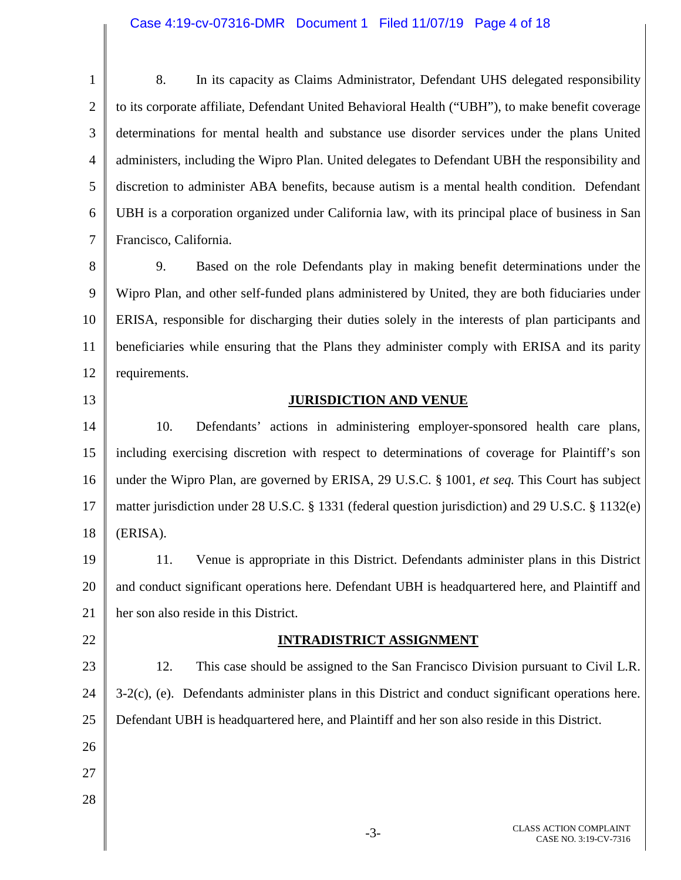### Case 4:19-cv-07316-DMR Document 1 Filed 11/07/19 Page 4 of 18

1 2 3 4 5 6 7 8. In its capacity as Claims Administrator, Defendant UHS delegated responsibility to its corporate affiliate, Defendant United Behavioral Health ("UBH"), to make benefit coverage determinations for mental health and substance use disorder services under the plans United administers, including the Wipro Plan. United delegates to Defendant UBH the responsibility and discretion to administer ABA benefits, because autism is a mental health condition. Defendant UBH is a corporation organized under California law, with its principal place of business in San Francisco, California.

8 9 10 11 12 9. Based on the role Defendants play in making benefit determinations under the Wipro Plan, and other self-funded plans administered by United, they are both fiduciaries under ERISA, responsible for discharging their duties solely in the interests of plan participants and beneficiaries while ensuring that the Plans they administer comply with ERISA and its parity requirements.

### 13

### **JURISDICTION AND VENUE**

14 15 16 17 18 10. Defendants' actions in administering employer-sponsored health care plans, including exercising discretion with respect to determinations of coverage for Plaintiff's son under the Wipro Plan, are governed by ERISA, 29 U.S.C. § 1001, *et seq.* This Court has subject matter jurisdiction under 28 U.S.C. § 1331 (federal question jurisdiction) and 29 U.S.C. § 1132(e) (ERISA).

19 20 21 11. Venue is appropriate in this District. Defendants administer plans in this District and conduct significant operations here. Defendant UBH is headquartered here, and Plaintiff and her son also reside in this District.

22

### **INTRADISTRICT ASSIGNMENT**

23 24 25 12. This case should be assigned to the San Francisco Division pursuant to Civil L.R. 3-2(c), (e). Defendants administer plans in this District and conduct significant operations here. Defendant UBH is headquartered here, and Plaintiff and her son also reside in this District.

- 26
- 27
- 28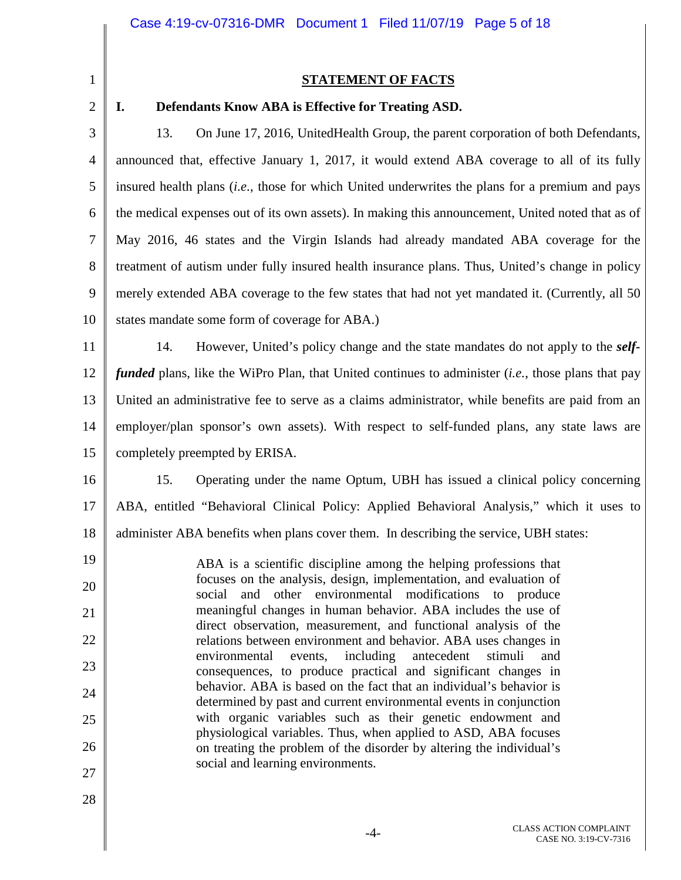1 2 3

25

26

27

28

### **STATEMENT OF FACTS**

#### 4 5 6 7 8 9 10 11 12 13 14 15 16 17 18 19 20 21 22 23 24 **I. Defendants Know ABA is Effective for Treating ASD.**  13. On June 17, 2016, UnitedHealth Group, the parent corporation of both Defendants, announced that, effective January 1, 2017, it would extend ABA coverage to all of its fully insured health plans (*i.e*., those for which United underwrites the plans for a premium and pays the medical expenses out of its own assets). In making this announcement, United noted that as of May 2016, 46 states and the Virgin Islands had already mandated ABA coverage for the treatment of autism under fully insured health insurance plans. Thus, United's change in policy merely extended ABA coverage to the few states that had not yet mandated it. (Currently, all 50 states mandate some form of coverage for ABA.) 14. However, United's policy change and the state mandates do not apply to the *selffunded* plans, like the WiPro Plan, that United continues to administer (*i.e.*, those plans that pay United an administrative fee to serve as a claims administrator, while benefits are paid from an employer/plan sponsor's own assets). With respect to self-funded plans, any state laws are completely preempted by ERISA. 15. Operating under the name Optum, UBH has issued a clinical policy concerning ABA, entitled "Behavioral Clinical Policy: Applied Behavioral Analysis," which it uses to administer ABA benefits when plans cover them. In describing the service, UBH states: ABA is a scientific discipline among the helping professions that focuses on the analysis, design, implementation, and evaluation of social and other environmental modifications to produce meaningful changes in human behavior. ABA includes the use of direct observation, measurement, and functional analysis of the relations between environment and behavior. ABA uses changes in environmental events, including antecedent stimuli and consequences, to produce practical and significant changes in behavior. ABA is based on the fact that an individual's behavior is

social and learning environments.

determined by past and current environmental events in conjunction with organic variables such as their genetic endowment and physiological variables. Thus, when applied to ASD, ABA focuses on treating the problem of the disorder by altering the individual's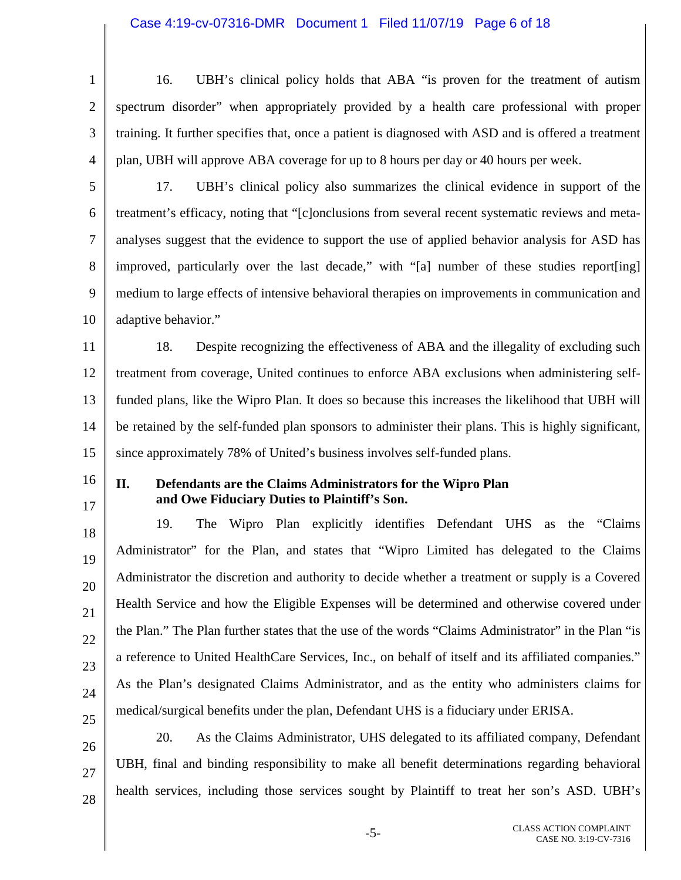### Case 4:19-cv-07316-DMR Document 1 Filed 11/07/19 Page 6 of 18

1 2 3 4 5 6 7 8 9 10 11 12 13 14 15 16 17 18 19 20 21 22 23 24 25 26 27 28 16. UBH's clinical policy holds that ABA "is proven for the treatment of autism spectrum disorder" when appropriately provided by a health care professional with proper training. It further specifies that, once a patient is diagnosed with ASD and is offered a treatment plan, UBH will approve ABA coverage for up to 8 hours per day or 40 hours per week. 17. UBH's clinical policy also summarizes the clinical evidence in support of the treatment's efficacy, noting that "[c]onclusions from several recent systematic reviews and metaanalyses suggest that the evidence to support the use of applied behavior analysis for ASD has improved, particularly over the last decade," with "[a] number of these studies report[ing] medium to large effects of intensive behavioral therapies on improvements in communication and adaptive behavior." 18. Despite recognizing the effectiveness of ABA and the illegality of excluding such treatment from coverage, United continues to enforce ABA exclusions when administering selffunded plans, like the Wipro Plan. It does so because this increases the likelihood that UBH will be retained by the self-funded plan sponsors to administer their plans. This is highly significant, since approximately 78% of United's business involves self-funded plans. **II. Defendants are the Claims Administrators for the Wipro Plan and Owe Fiduciary Duties to Plaintiff's Son.**  19. The Wipro Plan explicitly identifies Defendant UHS as the "Claims Administrator" for the Plan, and states that "Wipro Limited has delegated to the Claims Administrator the discretion and authority to decide whether a treatment or supply is a Covered Health Service and how the Eligible Expenses will be determined and otherwise covered under the Plan." The Plan further states that the use of the words "Claims Administrator" in the Plan "is a reference to United HealthCare Services, Inc., on behalf of itself and its affiliated companies." As the Plan's designated Claims Administrator, and as the entity who administers claims for medical/surgical benefits under the plan, Defendant UHS is a fiduciary under ERISA. 20. As the Claims Administrator, UHS delegated to its affiliated company, Defendant UBH, final and binding responsibility to make all benefit determinations regarding behavioral health services, including those services sought by Plaintiff to treat her son's ASD. UBH's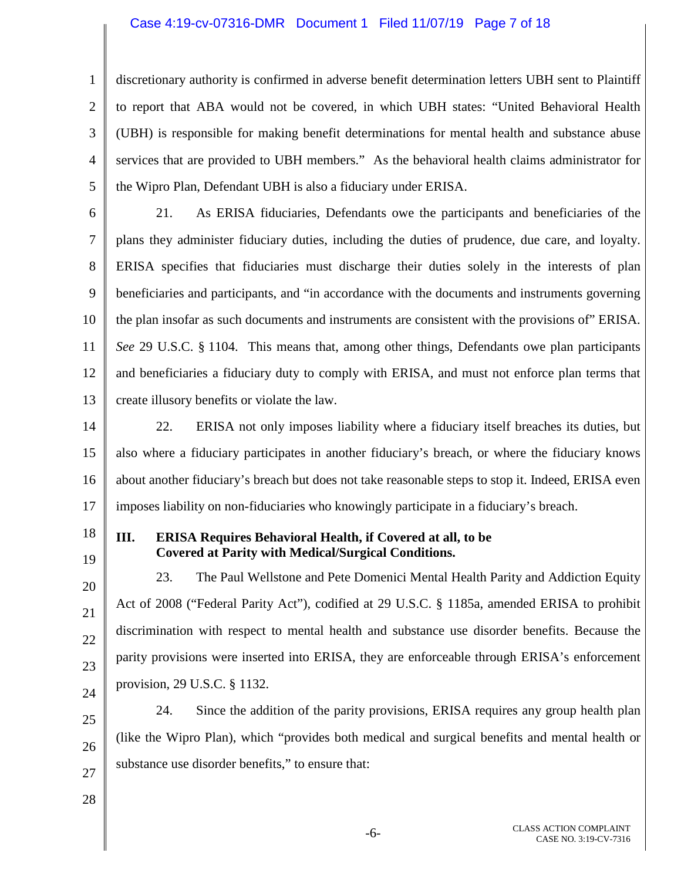### Case 4:19-cv-07316-DMR Document 1 Filed 11/07/19 Page 7 of 18

discretionary authority is confirmed in adverse benefit determination letters UBH sent to Plaintiff to report that ABA would not be covered, in which UBH states: "United Behavioral Health (UBH) is responsible for making benefit determinations for mental health and substance abuse services that are provided to UBH members." As the behavioral health claims administrator for the Wipro Plan, Defendant UBH is also a fiduciary under ERISA.

6 7 8 9 10 11 12 13 21. As ERISA fiduciaries, Defendants owe the participants and beneficiaries of the plans they administer fiduciary duties, including the duties of prudence, due care, and loyalty. ERISA specifies that fiduciaries must discharge their duties solely in the interests of plan beneficiaries and participants, and "in accordance with the documents and instruments governing the plan insofar as such documents and instruments are consistent with the provisions of" ERISA. *See* 29 U.S.C. § 1104. This means that, among other things, Defendants owe plan participants and beneficiaries a fiduciary duty to comply with ERISA, and must not enforce plan terms that create illusory benefits or violate the law.

14 15 16 17 22. ERISA not only imposes liability where a fiduciary itself breaches its duties, but also where a fiduciary participates in another fiduciary's breach, or where the fiduciary knows about another fiduciary's breach but does not take reasonable steps to stop it. Indeed, ERISA even imposes liability on non-fiduciaries who knowingly participate in a fiduciary's breach.

18

19

1

2

3

4

5

### **III. ERISA Requires Behavioral Health, if Covered at all, to be Covered at Parity with Medical/Surgical Conditions.**

20 21 22 23 24 23. The Paul Wellstone and Pete Domenici Mental Health Parity and Addiction Equity Act of 2008 ("Federal Parity Act"), codified at 29 U.S.C. § 1185a, amended ERISA to prohibit discrimination with respect to mental health and substance use disorder benefits. Because the parity provisions were inserted into ERISA, they are enforceable through ERISA's enforcement provision, 29 U.S.C. § 1132.

25 26 27 24. Since the addition of the parity provisions, ERISA requires any group health plan (like the Wipro Plan), which "provides both medical and surgical benefits and mental health or substance use disorder benefits," to ensure that:

28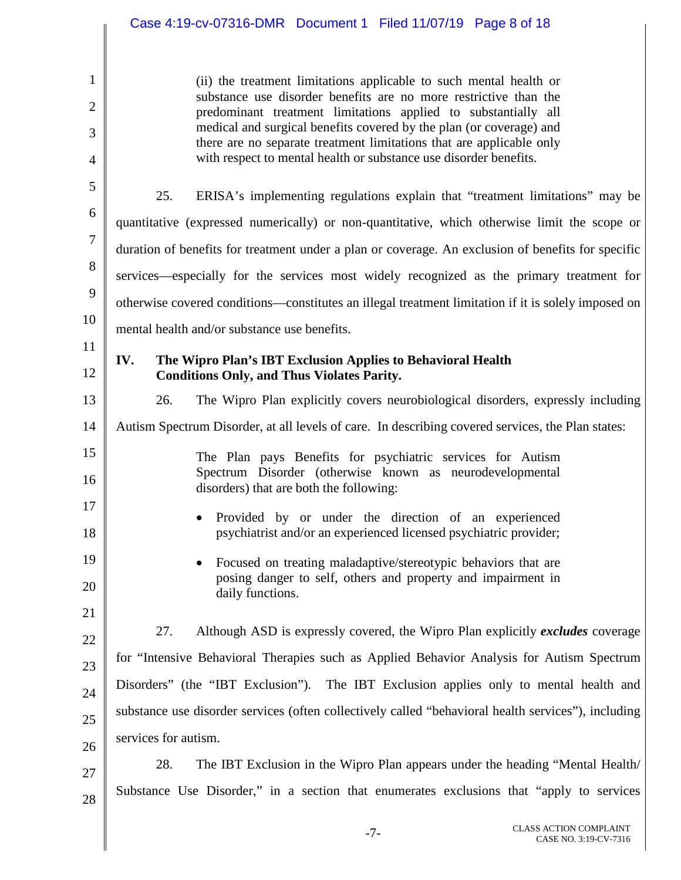1 2 3 4 5 6 7 8 9 10 11 12 13 14 15 16 17 18 19 20 21 22 23 24 25 26 27 28 (ii) the treatment limitations applicable to such mental health or substance use disorder benefits are no more restrictive than the predominant treatment limitations applied to substantially all medical and surgical benefits covered by the plan (or coverage) and there are no separate treatment limitations that are applicable only with respect to mental health or substance use disorder benefits. 25. ERISA's implementing regulations explain that "treatment limitations" may be quantitative (expressed numerically) or non-quantitative, which otherwise limit the scope or duration of benefits for treatment under a plan or coverage. An exclusion of benefits for specific services—especially for the services most widely recognized as the primary treatment for otherwise covered conditions—constitutes an illegal treatment limitation if it is solely imposed on mental health and/or substance use benefits. **IV. The Wipro Plan's IBT Exclusion Applies to Behavioral Health Conditions Only, and Thus Violates Parity.**  26. The Wipro Plan explicitly covers neurobiological disorders, expressly including Autism Spectrum Disorder, at all levels of care. In describing covered services, the Plan states: The Plan pays Benefits for psychiatric services for Autism Spectrum Disorder (otherwise known as neurodevelopmental disorders) that are both the following: • Provided by or under the direction of an experienced psychiatrist and/or an experienced licensed psychiatric provider; • Focused on treating maladaptive/stereotypic behaviors that are posing danger to self, others and property and impairment in daily functions. 27. Although ASD is expressly covered, the Wipro Plan explicitly *excludes* coverage for "Intensive Behavioral Therapies such as Applied Behavior Analysis for Autism Spectrum Disorders" (the "IBT Exclusion"). The IBT Exclusion applies only to mental health and substance use disorder services (often collectively called "behavioral health services"), including services for autism. 28. The IBT Exclusion in the Wipro Plan appears under the heading "Mental Health/ Substance Use Disorder," in a section that enumerates exclusions that "apply to services

> -7- CLASS ACTION COMPLAINT CASE NO. 3:19-CV-7316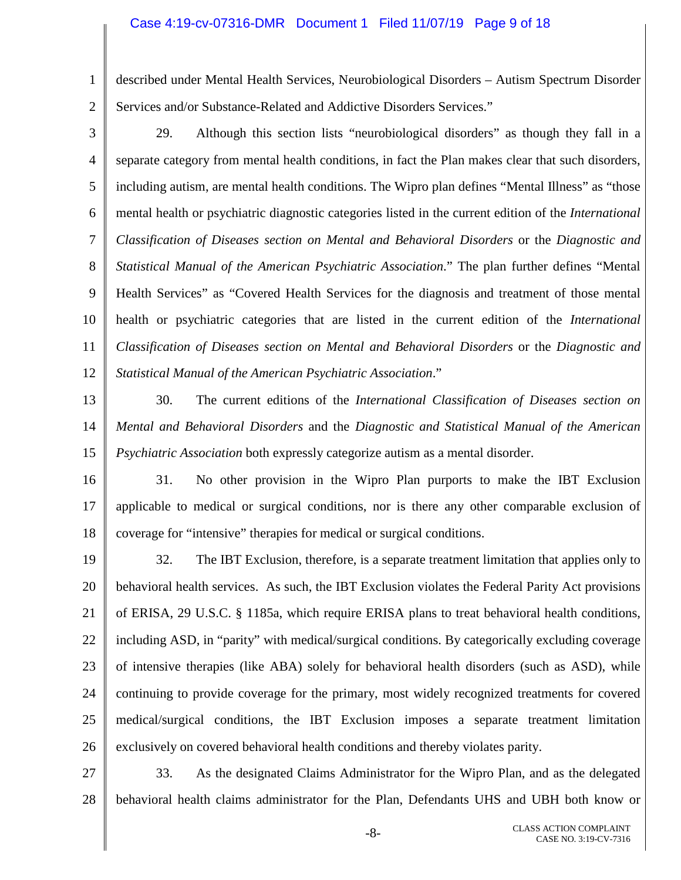#### Case 4:19-cv-07316-DMR Document 1 Filed 11/07/19 Page 9 of 18

1 2 described under Mental Health Services, Neurobiological Disorders – Autism Spectrum Disorder Services and/or Substance-Related and Addictive Disorders Services."

3 4 5 6 7 8 9 10 11 12 29. Although this section lists "neurobiological disorders" as though they fall in a separate category from mental health conditions, in fact the Plan makes clear that such disorders, including autism, are mental health conditions. The Wipro plan defines "Mental Illness" as "those mental health or psychiatric diagnostic categories listed in the current edition of the *International Classification of Diseases section on Mental and Behavioral Disorders* or the *Diagnostic and Statistical Manual of the American Psychiatric Association*." The plan further defines "Mental Health Services" as "Covered Health Services for the diagnosis and treatment of those mental health or psychiatric categories that are listed in the current edition of the *International Classification of Diseases section on Mental and Behavioral Disorders* or the *Diagnostic and Statistical Manual of the American Psychiatric Association*."

- 13 14 15 30. The current editions of the *International Classification of Diseases section on Mental and Behavioral Disorders* and the *Diagnostic and Statistical Manual of the American Psychiatric Association* both expressly categorize autism as a mental disorder.
- 16 17 18 31. No other provision in the Wipro Plan purports to make the IBT Exclusion applicable to medical or surgical conditions, nor is there any other comparable exclusion of coverage for "intensive" therapies for medical or surgical conditions.
- 19 20 21 22 23 24 25 26 32. The IBT Exclusion, therefore, is a separate treatment limitation that applies only to behavioral health services. As such, the IBT Exclusion violates the Federal Parity Act provisions of ERISA, 29 U.S.C. § 1185a, which require ERISA plans to treat behavioral health conditions, including ASD, in "parity" with medical/surgical conditions. By categorically excluding coverage of intensive therapies (like ABA) solely for behavioral health disorders (such as ASD), while continuing to provide coverage for the primary, most widely recognized treatments for covered medical/surgical conditions, the IBT Exclusion imposes a separate treatment limitation exclusively on covered behavioral health conditions and thereby violates parity.

27 28 33. As the designated Claims Administrator for the Wipro Plan, and as the delegated behavioral health claims administrator for the Plan, Defendants UHS and UBH both know or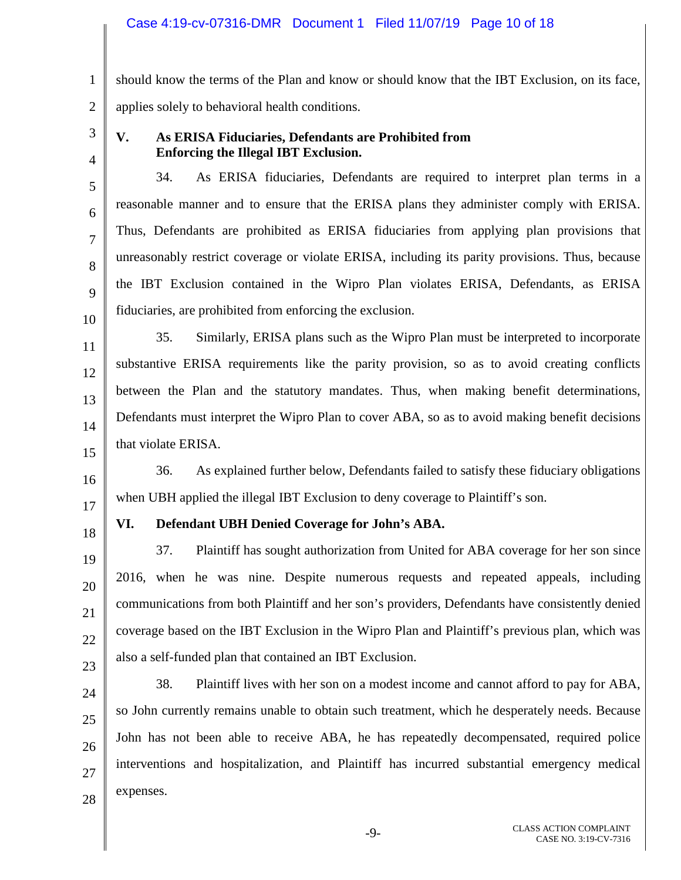1 2 should know the terms of the Plan and know or should know that the IBT Exclusion, on its face, applies solely to behavioral health conditions.

3

4

5

6

7

8

9

10

11

12

13

14

15

16

### **V. As ERISA Fiduciaries, Defendants are Prohibited from Enforcing the Illegal IBT Exclusion.**

34. As ERISA fiduciaries, Defendants are required to interpret plan terms in a reasonable manner and to ensure that the ERISA plans they administer comply with ERISA. Thus, Defendants are prohibited as ERISA fiduciaries from applying plan provisions that unreasonably restrict coverage or violate ERISA, including its parity provisions. Thus, because the IBT Exclusion contained in the Wipro Plan violates ERISA, Defendants, as ERISA fiduciaries, are prohibited from enforcing the exclusion.

35. Similarly, ERISA plans such as the Wipro Plan must be interpreted to incorporate substantive ERISA requirements like the parity provision, so as to avoid creating conflicts between the Plan and the statutory mandates. Thus, when making benefit determinations, Defendants must interpret the Wipro Plan to cover ABA, so as to avoid making benefit decisions that violate ERISA.

36. As explained further below, Defendants failed to satisfy these fiduciary obligations when UBH applied the illegal IBT Exclusion to deny coverage to Plaintiff's son.

17

## 18 19

20

21

22

23

24

25

26

27

28

## **VI. Defendant UBH Denied Coverage for John's ABA.**

37. Plaintiff has sought authorization from United for ABA coverage for her son since 2016, when he was nine. Despite numerous requests and repeated appeals, including communications from both Plaintiff and her son's providers, Defendants have consistently denied coverage based on the IBT Exclusion in the Wipro Plan and Plaintiff's previous plan, which was also a self-funded plan that contained an IBT Exclusion.

38. Plaintiff lives with her son on a modest income and cannot afford to pay for ABA, so John currently remains unable to obtain such treatment, which he desperately needs. Because John has not been able to receive ABA, he has repeatedly decompensated, required police interventions and hospitalization, and Plaintiff has incurred substantial emergency medical expenses.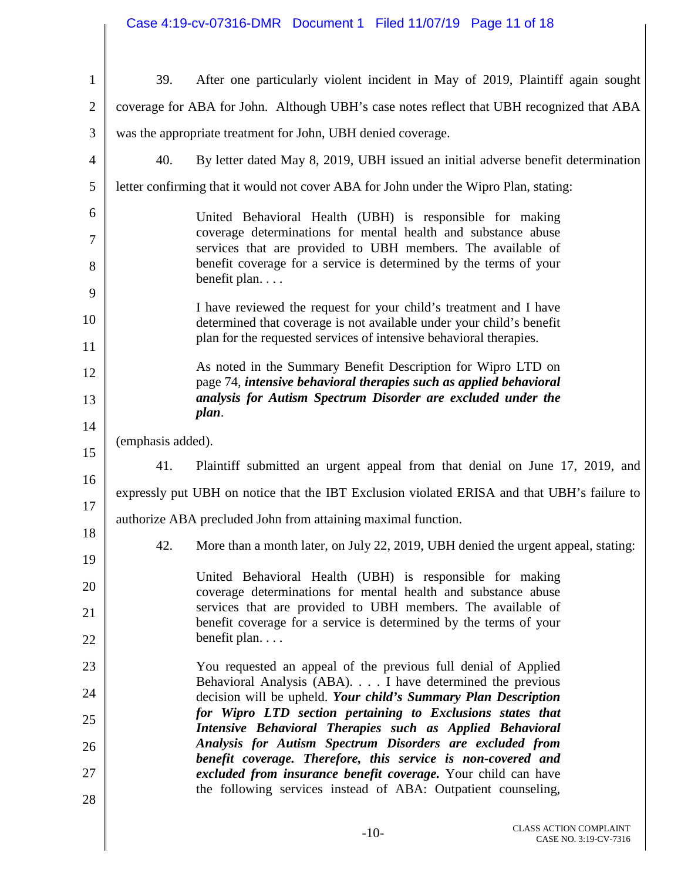| Case 4:19-cv-07316-DMR  Document 1  Filed 11/07/19  Page 11 of 18 |  |  |
|-------------------------------------------------------------------|--|--|
|                                                                   |  |  |

 $\mathbf{I}$ Π

| $\mathbf{1}$   | After one particularly violent incident in May of 2019, Plaintiff again sought<br>39.                                                                                                                           |
|----------------|-----------------------------------------------------------------------------------------------------------------------------------------------------------------------------------------------------------------|
| $\overline{2}$ | coverage for ABA for John. Although UBH's case notes reflect that UBH recognized that ABA                                                                                                                       |
| 3              | was the appropriate treatment for John, UBH denied coverage.                                                                                                                                                    |
| $\overline{4}$ | 40.<br>By letter dated May 8, 2019, UBH issued an initial adverse benefit determination                                                                                                                         |
| 5              | letter confirming that it would not cover ABA for John under the Wipro Plan, stating:                                                                                                                           |
| 6              | United Behavioral Health (UBH) is responsible for making                                                                                                                                                        |
| $\overline{7}$ | coverage determinations for mental health and substance abuse<br>services that are provided to UBH members. The available of<br>benefit coverage for a service is determined by the terms of your               |
| 8<br>9         | benefit plan                                                                                                                                                                                                    |
| 10             | I have reviewed the request for your child's treatment and I have<br>determined that coverage is not available under your child's benefit<br>plan for the requested services of intensive behavioral therapies. |
| 11             | As noted in the Summary Benefit Description for Wipro LTD on                                                                                                                                                    |
| 12             | page 74, intensive behavioral therapies such as applied behavioral<br>analysis for Autism Spectrum Disorder are excluded under the                                                                              |
| 13<br>14       | plan.                                                                                                                                                                                                           |
| 15             | (emphasis added).                                                                                                                                                                                               |
| 16             | 41.<br>Plaintiff submitted an urgent appeal from that denial on June 17, 2019, and                                                                                                                              |
| 17             | expressly put UBH on notice that the IBT Exclusion violated ERISA and that UBH's failure to                                                                                                                     |
| 18             | authorize ABA precluded John from attaining maximal function.                                                                                                                                                   |
| 19             | More than a month later, on July 22, 2019, UBH denied the urgent appeal, stating:<br>42.                                                                                                                        |
| 20             | United Behavioral Health (UBH) is responsible for making<br>coverage determinations for mental health and substance abuse                                                                                       |
| 21             | services that are provided to UBH members. The available of<br>benefit coverage for a service is determined by the terms of your                                                                                |
| 22             | benefit plan                                                                                                                                                                                                    |
| 23             | You requested an appeal of the previous full denial of Applied                                                                                                                                                  |
| 24             | Behavioral Analysis (ABA). I have determined the previous<br>decision will be upheld. Your child's Summary Plan Description                                                                                     |
| 25             | for Wipro LTD section pertaining to Exclusions states that<br>Intensive Behavioral Therapies such as Applied Behavioral                                                                                         |
| 26             | Analysis for Autism Spectrum Disorders are excluded from<br>benefit coverage. Therefore, this service is non-covered and                                                                                        |
| 27             | excluded from insurance benefit coverage. Your child can have                                                                                                                                                   |
| 28             | the following services instead of ABA: Outpatient counseling,                                                                                                                                                   |
|                |                                                                                                                                                                                                                 |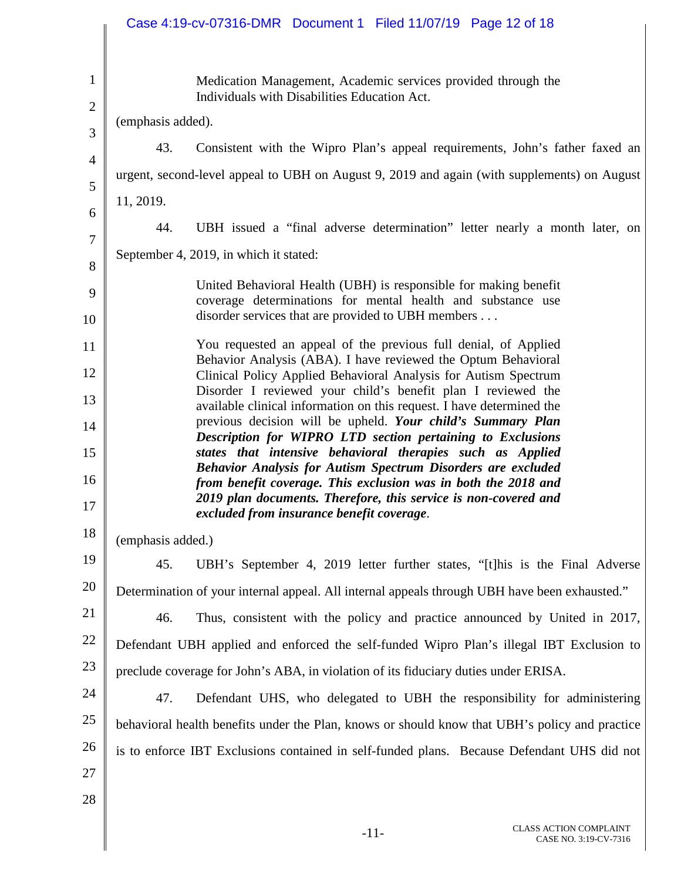|                              | Case 4:19-cv-07316-DMR  Document 1  Filed 11/07/19  Page 12 of 18                                                                     |
|------------------------------|---------------------------------------------------------------------------------------------------------------------------------------|
|                              |                                                                                                                                       |
| $\mathbf{1}$<br>$\mathbf{2}$ | Medication Management, Academic services provided through the<br>Individuals with Disabilities Education Act.                         |
| 3                            | (emphasis added).                                                                                                                     |
| $\overline{4}$               | 43.<br>Consistent with the Wipro Plan's appeal requirements, John's father faxed an                                                   |
| 5                            | urgent, second-level appeal to UBH on August 9, 2019 and again (with supplements) on August                                           |
| 6                            | 11, 2019.                                                                                                                             |
| $\overline{7}$               | UBH issued a "final adverse determination" letter nearly a month later, on<br>44.                                                     |
| 8                            | September 4, 2019, in which it stated:                                                                                                |
| 9                            | United Behavioral Health (UBH) is responsible for making benefit                                                                      |
| 10                           | coverage determinations for mental health and substance use<br>disorder services that are provided to UBH members                     |
| 11                           | You requested an appeal of the previous full denial, of Applied                                                                       |
| 12                           | Behavior Analysis (ABA). I have reviewed the Optum Behavioral<br>Clinical Policy Applied Behavioral Analysis for Autism Spectrum      |
| 13                           | Disorder I reviewed your child's benefit plan I reviewed the<br>available clinical information on this request. I have determined the |
| 14                           | previous decision will be upheld. Your child's Summary Plan                                                                           |
| 15                           | Description for WIPRO LTD section pertaining to Exclusions<br>states that intensive behavioral therapies such as Applied              |
| 16                           | Behavior Analysis for Autism Spectrum Disorders are excluded<br>from benefit coverage. This exclusion was in both the 2018 and        |
| 17                           | 2019 plan documents. Therefore, this service is non-covered and<br>excluded from insurance benefit coverage.                          |
| 18                           | (emphasis added.)                                                                                                                     |
| 19                           | 45.<br>UBH's September 4, 2019 letter further states, "[t] his is the Final Adverse                                                   |
| 20                           | Determination of your internal appeal. All internal appeals through UBH have been exhausted."                                         |
| 21                           | 46.<br>Thus, consistent with the policy and practice announced by United in 2017,                                                     |
| 22                           | Defendant UBH applied and enforced the self-funded Wipro Plan's illegal IBT Exclusion to                                              |
| 23                           | preclude coverage for John's ABA, in violation of its fiduciary duties under ERISA.                                                   |
| 24                           | 47.<br>Defendant UHS, who delegated to UBH the responsibility for administering                                                       |
| 25                           | behavioral health benefits under the Plan, knows or should know that UBH's policy and practice                                        |
| 26                           | is to enforce IBT Exclusions contained in self-funded plans. Because Defendant UHS did not                                            |
| 27                           |                                                                                                                                       |
| 28                           |                                                                                                                                       |
|                              |                                                                                                                                       |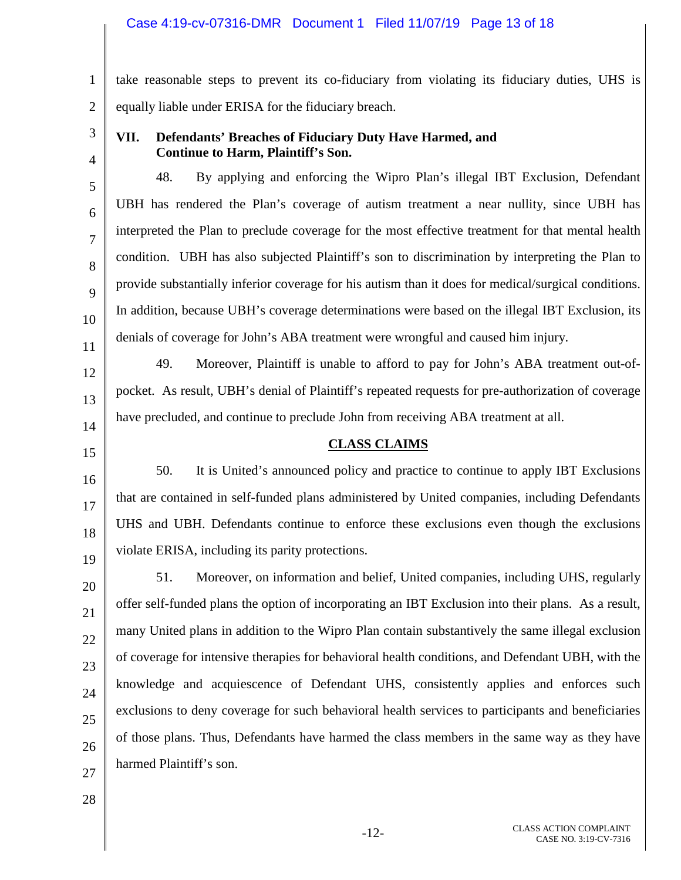### Case 4:19-cv-07316-DMR Document 1 Filed 11/07/19 Page 13 of 18

1 2 take reasonable steps to prevent its co-fiduciary from violating its fiduciary duties, UHS is equally liable under ERISA for the fiduciary breach.

3

4

5

6

7

8

9

10

11

12

13

### **VII. Defendants' Breaches of Fiduciary Duty Have Harmed, and Continue to Harm, Plaintiff's Son.**

48. By applying and enforcing the Wipro Plan's illegal IBT Exclusion, Defendant UBH has rendered the Plan's coverage of autism treatment a near nullity, since UBH has interpreted the Plan to preclude coverage for the most effective treatment for that mental health condition. UBH has also subjected Plaintiff's son to discrimination by interpreting the Plan to provide substantially inferior coverage for his autism than it does for medical/surgical conditions. In addition, because UBH's coverage determinations were based on the illegal IBT Exclusion, its denials of coverage for John's ABA treatment were wrongful and caused him injury.

49. Moreover, Plaintiff is unable to afford to pay for John's ABA treatment out-ofpocket. As result, UBH's denial of Plaintiff's repeated requests for pre-authorization of coverage have precluded, and continue to preclude John from receiving ABA treatment at all.

# 14 15

16

17

18

19

20

21

22

23

24

25

26

### **CLASS CLAIMS**

50. It is United's announced policy and practice to continue to apply IBT Exclusions that are contained in self-funded plans administered by United companies, including Defendants UHS and UBH. Defendants continue to enforce these exclusions even though the exclusions violate ERISA, including its parity protections.

51. Moreover, on information and belief, United companies, including UHS, regularly offer self-funded plans the option of incorporating an IBT Exclusion into their plans. As a result, many United plans in addition to the Wipro Plan contain substantively the same illegal exclusion of coverage for intensive therapies for behavioral health conditions, and Defendant UBH, with the knowledge and acquiescence of Defendant UHS, consistently applies and enforces such exclusions to deny coverage for such behavioral health services to participants and beneficiaries of those plans. Thus, Defendants have harmed the class members in the same way as they have harmed Plaintiff's son.

28

27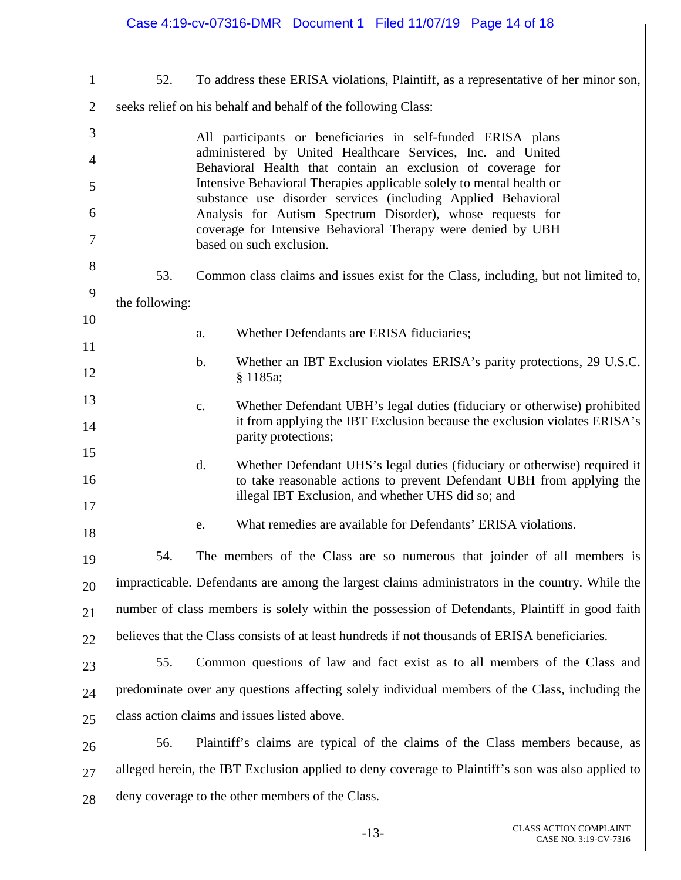|                |                | Case 4:19-cv-07316-DMR  Document 1  Filed 11/07/19  Page 14 of 18                                                                                                                                              |
|----------------|----------------|----------------------------------------------------------------------------------------------------------------------------------------------------------------------------------------------------------------|
|                |                |                                                                                                                                                                                                                |
| $\mathbf{1}$   | 52.            | To address these ERISA violations, Plaintiff, as a representative of her minor son,                                                                                                                            |
| $\overline{2}$ |                | seeks relief on his behalf and behalf of the following Class:                                                                                                                                                  |
| 3              |                | All participants or beneficiaries in self-funded ERISA plans<br>administered by United Healthcare Services, Inc. and United                                                                                    |
| 4<br>5         |                | Behavioral Health that contain an exclusion of coverage for<br>Intensive Behavioral Therapies applicable solely to mental health or                                                                            |
| 6              |                | substance use disorder services (including Applied Behavioral<br>Analysis for Autism Spectrum Disorder), whose requests for                                                                                    |
| 7              |                | coverage for Intensive Behavioral Therapy were denied by UBH<br>based on such exclusion.                                                                                                                       |
| 8              | 53.            | Common class claims and issues exist for the Class, including, but not limited to,                                                                                                                             |
| 9              | the following: |                                                                                                                                                                                                                |
| 10<br>11       |                | Whether Defendants are ERISA fiduciaries;<br>a.                                                                                                                                                                |
| 12             |                | Whether an IBT Exclusion violates ERISA's parity protections, 29 U.S.C.<br>b.<br>§ 1185a;                                                                                                                      |
| 13<br>14       |                | Whether Defendant UBH's legal duties (fiduciary or otherwise) prohibited<br>c.<br>it from applying the IBT Exclusion because the exclusion violates ERISA's<br>parity protections;                             |
| 15<br>16<br>17 |                | Whether Defendant UHS's legal duties (fiduciary or otherwise) required it<br>d.<br>to take reasonable actions to prevent Defendant UBH from applying the<br>illegal IBT Exclusion, and whether UHS did so; and |
| 18             |                | What remedies are available for Defendants' ERISA violations.<br>e.                                                                                                                                            |
| 19             | 54.            | The members of the Class are so numerous that joinder of all members is                                                                                                                                        |
| 20             |                | impracticable. Defendants are among the largest claims administrators in the country. While the                                                                                                                |
| 21             |                | number of class members is solely within the possession of Defendants, Plaintiff in good faith                                                                                                                 |
| 22             |                | believes that the Class consists of at least hundreds if not thousands of ERISA beneficiaries.                                                                                                                 |
| 23             | 55.            | Common questions of law and fact exist as to all members of the Class and                                                                                                                                      |
| 24             |                | predominate over any questions affecting solely individual members of the Class, including the                                                                                                                 |
| 25             |                | class action claims and issues listed above.                                                                                                                                                                   |
| 26             | 56.            | Plaintiff's claims are typical of the claims of the Class members because, as                                                                                                                                  |
| 27             |                | alleged herein, the IBT Exclusion applied to deny coverage to Plaintiff's son was also applied to                                                                                                              |
| 28             |                | deny coverage to the other members of the Class.                                                                                                                                                               |
|                |                | CLASS ACTION COMPLAINT                                                                                                                                                                                         |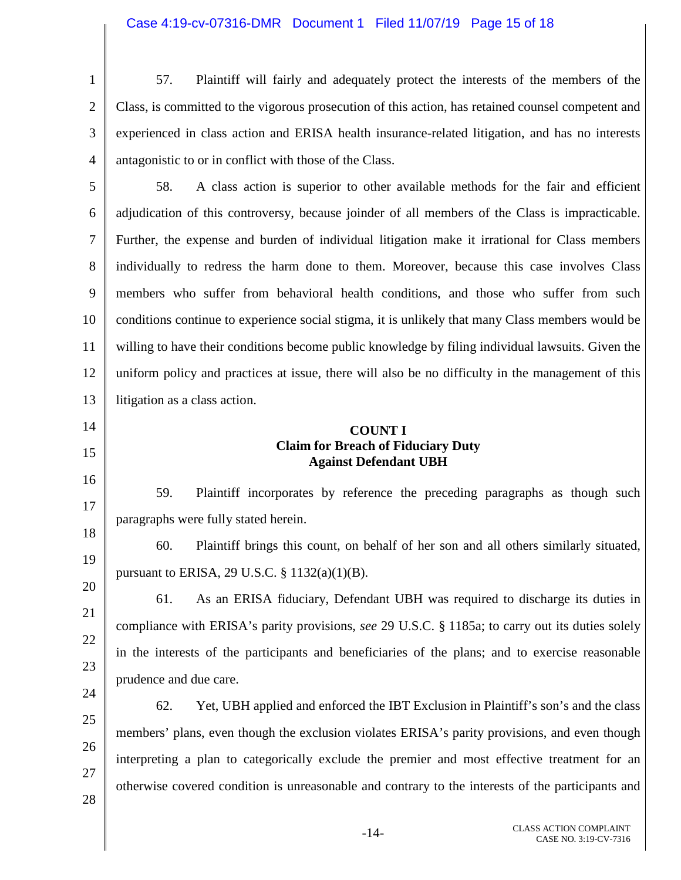| $\mathbf{1}$   | 57.<br>Plaintiff will fairly and adequately protect the interests of the members of the            |  |
|----------------|----------------------------------------------------------------------------------------------------|--|
| $\overline{2}$ | Class, is committed to the vigorous prosecution of this action, has retained counsel competent and |  |
| 3              | experienced in class action and ERISA health insurance-related litigation, and has no interests    |  |
| 4              | antagonistic to or in conflict with those of the Class.                                            |  |
| 5              | 58.<br>A class action is superior to other available methods for the fair and efficient            |  |
| 6              | adjudication of this controversy, because joinder of all members of the Class is impracticable.    |  |
| 7              | Further, the expense and burden of individual litigation make it irrational for Class members      |  |
| 8              | individually to redress the harm done to them. Moreover, because this case involves Class          |  |
| 9              | members who suffer from behavioral health conditions, and those who suffer from such               |  |
| 10             | conditions continue to experience social stigma, it is unlikely that many Class members would be   |  |
| 11             | willing to have their conditions become public knowledge by filing individual lawsuits. Given the  |  |
| 12             | uniform policy and practices at issue, there will also be no difficulty in the management of this  |  |
| 13             | litigation as a class action.                                                                      |  |
| 14             | <b>COUNT I</b>                                                                                     |  |
| 15             | <b>Claim for Breach of Fiduciary Duty</b><br><b>Against Defendant UBH</b>                          |  |
| 16             | 59.<br>Plaintiff incorporates by reference the preceding paragraphs as though such                 |  |
| 17             | paragraphs were fully stated herein.                                                               |  |
| 18             | Plaintiff brings this count, on behalf of her son and all others similarly situated,<br>60.        |  |
| 19             | pursuant to ERISA, 29 U.S.C. $\S$ 1132(a)(1)(B).                                                   |  |
| 20             | 61.<br>As an ERISA fiduciary, Defendant UBH was required to discharge its duties in                |  |
| 21             | compliance with ERISA's parity provisions, see 29 U.S.C. § 1185a; to carry out its duties solely   |  |
| 22             | in the interests of the participants and beneficiaries of the plans; and to exercise reasonable    |  |
| 23             | prudence and due care.                                                                             |  |
| 24             | 62.<br>Yet, UBH applied and enforced the IBT Exclusion in Plaintiff's son's and the class          |  |
| 25             | members' plans, even though the exclusion violates ERISA's parity provisions, and even though      |  |
|                |                                                                                                    |  |
| 26             | interpreting a plan to categorically exclude the premier and most effective treatment for an       |  |
| 27<br>28       | otherwise covered condition is unreasonable and contrary to the interests of the participants and  |  |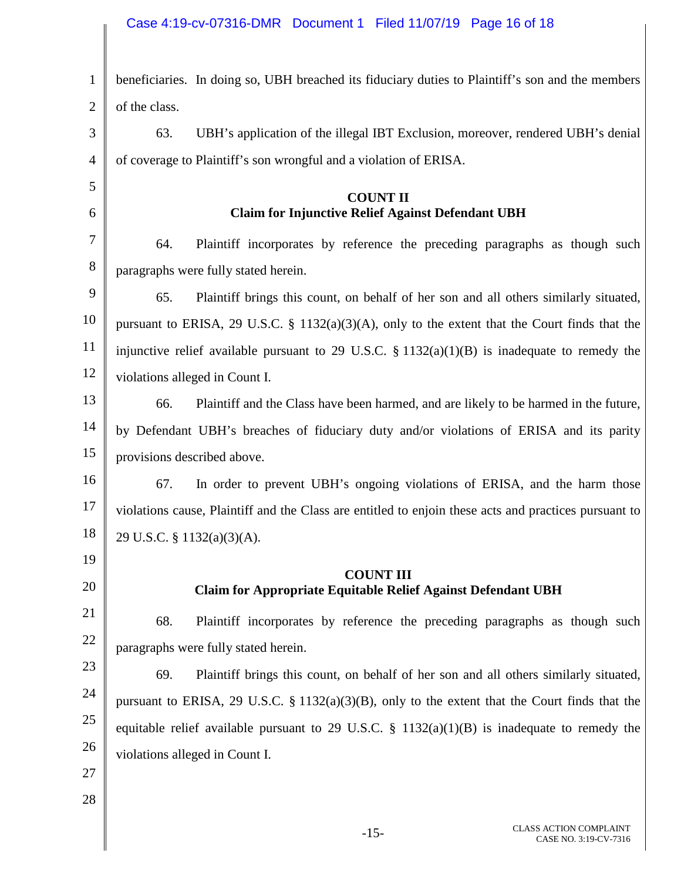### Case 4:19-cv-07316-DMR Document 1 Filed 11/07/19 Page 16 of 18

| $\mathbf{1}$ | beneficiaries. In doing so, UBH breached its fiduciary duties to Plaintiff's son and the members      |
|--------------|-------------------------------------------------------------------------------------------------------|
| 2            | of the class.                                                                                         |
| 3            | UBH's application of the illegal IBT Exclusion, moreover, rendered UBH's denial<br>63.                |
| 4            | of coverage to Plaintiff's son wrongful and a violation of ERISA.                                     |
| 5            | <b>COUNT II</b>                                                                                       |
| 6            | <b>Claim for Injunctive Relief Against Defendant UBH</b>                                              |
| 7            | Plaintiff incorporates by reference the preceding paragraphs as though such<br>64.                    |
| 8            | paragraphs were fully stated herein.                                                                  |
| 9            | Plaintiff brings this count, on behalf of her son and all others similarly situated,<br>65.           |
| 10           | pursuant to ERISA, 29 U.S.C. § 1132(a)(3)(A), only to the extent that the Court finds that the        |
| 11           | injunctive relief available pursuant to 29 U.S.C. $\S 1132(a)(1)(B)$ is inadequate to remedy the      |
| 12           | violations alleged in Count I.                                                                        |
| 13           | Plaintiff and the Class have been harmed, and are likely to be harmed in the future,<br>66.           |
| 14           | by Defendant UBH's breaches of fiduciary duty and/or violations of ERISA and its parity               |
| 15           | provisions described above.                                                                           |
| 16           | In order to prevent UBH's ongoing violations of ERISA, and the harm those<br>67.                      |
| 17           | violations cause, Plaintiff and the Class are entitled to enjoin these acts and practices pursuant to |
| 18           | 29 U.S.C. § 1132(a)(3)(A).                                                                            |
| 19           |                                                                                                       |
| 20           | <b>COUNT III</b><br><b>Claim for Appropriate Equitable Relief Against Defendant UBH</b>               |
| 21           | 68.<br>Plaintiff incorporates by reference the preceding paragraphs as though such                    |
| 22           | paragraphs were fully stated herein.                                                                  |
| 23           | 69.<br>Plaintiff brings this count, on behalf of her son and all others similarly situated,           |
| 24           | pursuant to ERISA, 29 U.S.C. $\S 1132(a)(3)(B)$ , only to the extent that the Court finds that the    |
| 25           | equitable relief available pursuant to 29 U.S.C. $\S$ 1132(a)(1)(B) is inadequate to remedy the       |
| 26           | violations alleged in Count I.                                                                        |
| 27           |                                                                                                       |
| 28           |                                                                                                       |
|              |                                                                                                       |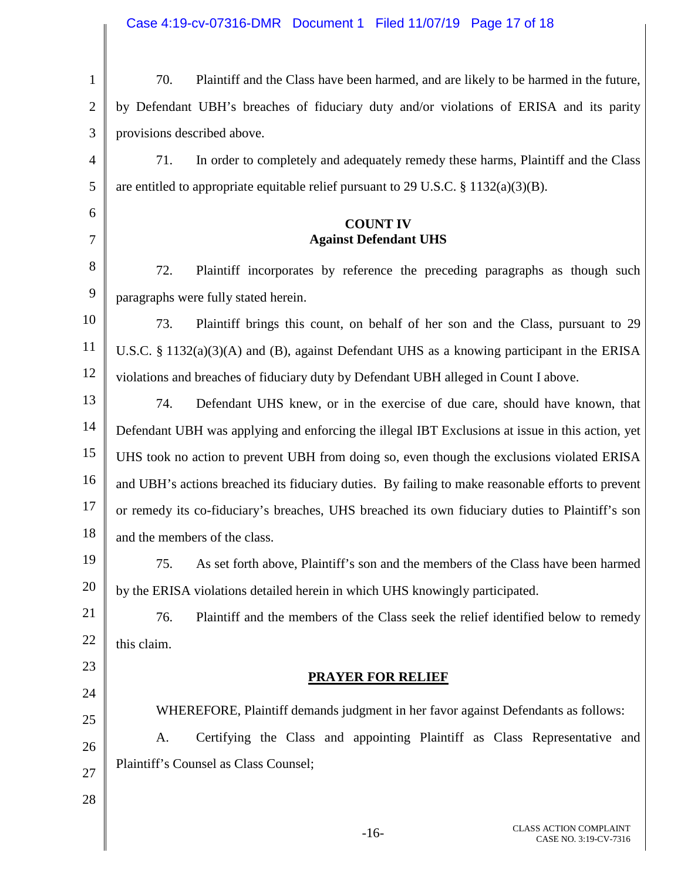| Case 4:19-cv-07316-DMR  Document 1  Filed 11/07/19  Page 17 of 18 |  |  |
|-------------------------------------------------------------------|--|--|
|                                                                   |  |  |

| $\mathbf{1}$   | 70.<br>Plaintiff and the Class have been harmed, and are likely to be harmed in the future,       |
|----------------|---------------------------------------------------------------------------------------------------|
| $\overline{2}$ | by Defendant UBH's breaches of fiduciary duty and/or violations of ERISA and its parity           |
| 3              | provisions described above.                                                                       |
| 4              | 71.<br>In order to completely and adequately remedy these harms, Plaintiff and the Class          |
| 5              | are entitled to appropriate equitable relief pursuant to 29 U.S.C. $\S 1132(a)(3)(B)$ .           |
| 6              | <b>COUNT IV</b>                                                                                   |
| 7              | <b>Against Defendant UHS</b>                                                                      |
| 8              | 72.<br>Plaintiff incorporates by reference the preceding paragraphs as though such                |
| 9              | paragraphs were fully stated herein.                                                              |
| 10             | 73.<br>Plaintiff brings this count, on behalf of her son and the Class, pursuant to 29            |
| 11             | U.S.C. $\S 1132(a)(3)(A)$ and (B), against Defendant UHS as a knowing participant in the ERISA    |
| 12             | violations and breaches of fiduciary duty by Defendant UBH alleged in Count I above.              |
| 13             | Defendant UHS knew, or in the exercise of due care, should have known, that<br>74.                |
| 14             | Defendant UBH was applying and enforcing the illegal IBT Exclusions at issue in this action, yet  |
| 15             | UHS took no action to prevent UBH from doing so, even though the exclusions violated ERISA        |
| 16             | and UBH's actions breached its fiduciary duties. By failing to make reasonable efforts to prevent |
| 17             | or remedy its co-fiduciary's breaches, UHS breached its own fiduciary duties to Plaintiff's son   |
| 18             | and the members of the class.                                                                     |
| 19             | As set forth above, Plaintiff's son and the members of the Class have been harmed<br>75.          |
| 20             | by the ERISA violations detailed herein in which UHS knowingly participated.                      |
| 21             | Plaintiff and the members of the Class seek the relief identified below to remedy<br>76.          |
| 22             | this claim.                                                                                       |
| 23             | <b>PRAYER FOR RELIEF</b>                                                                          |
| 24             | WHEREFORE, Plaintiff demands judgment in her favor against Defendants as follows:                 |
| 25             | Certifying the Class and appointing Plaintiff as Class Representative and<br>A.                   |
| 26             | Plaintiff's Counsel as Class Counsel;                                                             |
| 27             |                                                                                                   |
| 28             |                                                                                                   |